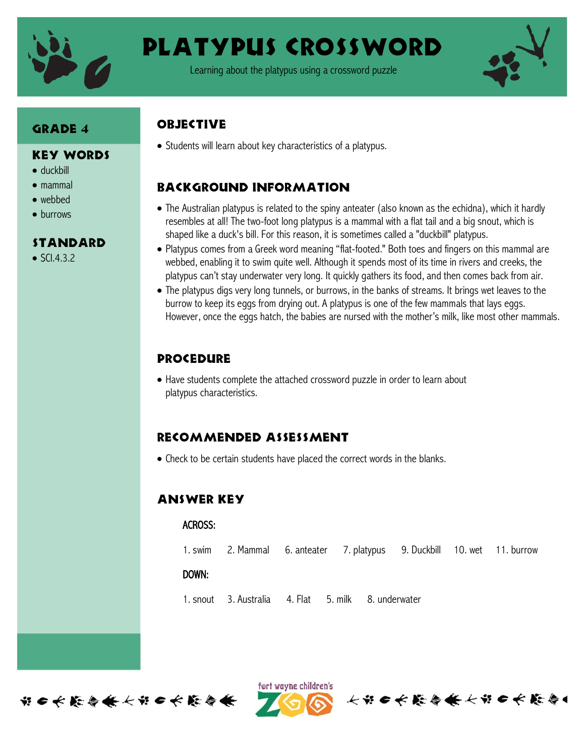

# Platypus Crossword

Learning about the platypus using a crossword puzzle



#### GRADE 4

#### Key Words

- duckbill
- mammal
- webbed
- burrows

#### Standard

 $\bullet$  SCI.4.3.2

### **OBJECTIVE**

• Students will learn about key characteristics of a platypus.

## Background information

- The Australian platypus is related to the spiny anteater (also known as the echidna), which it hardly resembles at all! The two-foot long platypus is a mammal with a flat tail and a big snout, which is shaped like a duck's bill. For this reason, it is sometimes called a "duckbill" platypus.
- Platypus comes from a Greek word meaning "flat-footed." Both toes and fingers on this mammal are webbed, enabling it to swim quite well. Although it spends most of its time in rivers and creeks, the platypus can't stay underwater very long. It quickly gathers its food, and then comes back from air.
- The platypus digs very long tunnels, or burrows, in the banks of streams. It brings wet leaves to the burrow to keep its eggs from drying out. A platypus is one of the few mammals that lays eggs. However, once the eggs hatch, the babies are nursed with the mother's milk, like most other mammals.

## **PROCEDURE**

 Have students complete the attached crossword puzzle in order to learn about platypus characteristics.

#### Recommended assessment

Check to be certain students have placed the correct words in the blanks.

#### Answer Key

#### ACROSS:

1. swim 2. Mammal 6. anteater 7. platypus 9. Duckbill 10. wet 11. burrow

长节日长藤春餐长节日长藤春

#### DOWN:

1. snout 3. Australia 4. Flat 5. milk 8. underwater

ført wayne children's